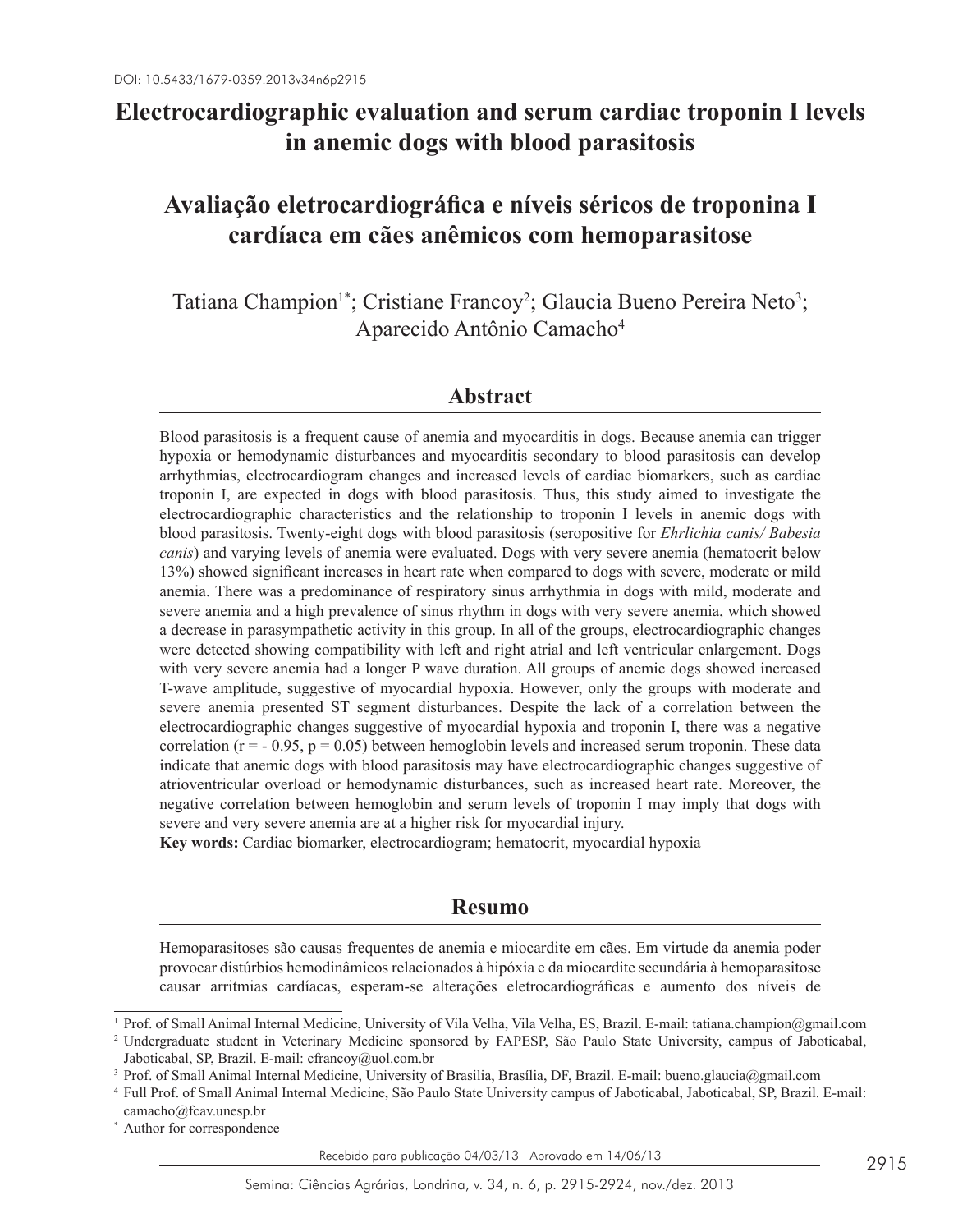# **Electrocardiographic evaluation and serum cardiac troponin I levels in anemic dogs with blood parasitosis**

# **Avaliação eletrocardiográfica e níveis séricos de troponina I cardíaca em cães anêmicos com hemoparasitose**

Tatiana Champion<sup>1\*</sup>; Cristiane Francoy<sup>2</sup>; Glaucia Bueno Pereira Neto<sup>3</sup>; Aparecido Antônio Camacho4

## **Abstract**

Blood parasitosis is a frequent cause of anemia and myocarditis in dogs. Because anemia can trigger hypoxia or hemodynamic disturbances and myocarditis secondary to blood parasitosis can develop arrhythmias, electrocardiogram changes and increased levels of cardiac biomarkers, such as cardiac troponin I, are expected in dogs with blood parasitosis. Thus, this study aimed to investigate the electrocardiographic characteristics and the relationship to troponin I levels in anemic dogs with blood parasitosis. Twenty-eight dogs with blood parasitosis (seropositive for *Ehrlichia canis/ Babesia canis*) and varying levels of anemia were evaluated. Dogs with very severe anemia (hematocrit below 13%) showed significant increases in heart rate when compared to dogs with severe, moderate or mild anemia. There was a predominance of respiratory sinus arrhythmia in dogs with mild, moderate and severe anemia and a high prevalence of sinus rhythm in dogs with very severe anemia, which showed a decrease in parasympathetic activity in this group. In all of the groups, electrocardiographic changes were detected showing compatibility with left and right atrial and left ventricular enlargement. Dogs with very severe anemia had a longer P wave duration. All groups of anemic dogs showed increased T-wave amplitude, suggestive of myocardial hypoxia. However, only the groups with moderate and severe anemia presented ST segment disturbances. Despite the lack of a correlation between the electrocardiographic changes suggestive of myocardial hypoxia and troponin I, there was a negative correlation  $(r = -0.95, p = 0.05)$  between hemoglobin levels and increased serum troponin. These data indicate that anemic dogs with blood parasitosis may have electrocardiographic changes suggestive of atrioventricular overload or hemodynamic disturbances, such as increased heart rate. Moreover, the negative correlation between hemoglobin and serum levels of troponin I may imply that dogs with severe and very severe anemia are at a higher risk for myocardial injury.

**Key words:** Cardiac biomarker, electrocardiogram; hematocrit, myocardial hypoxia

## **Resumo**

Hemoparasitoses são causas frequentes de anemia e miocardite em cães. Em virtude da anemia poder provocar distúrbios hemodinâmicos relacionados à hipóxia e da miocardite secundária à hemoparasitose causar arritmias cardíacas, esperam-se alterações eletrocardiográficas e aumento dos níveis de

<sup>1</sup> Prof. of Small Animal Internal Medicine, University of Vila Velha, Vila Velha, ES, Brazil. E-mail: tatiana.champion@gmail.com

<sup>2</sup> Undergraduate student in Veterinary Medicine sponsored by FAPESP, São Paulo State University, campus of Jaboticabal, Jaboticabal, SP, Brazil. E-mail: cfrancoy@uol.com.br

<sup>3</sup> Prof. of Small Animal Internal Medicine, University of Brasilia, Brasília, DF, Brazil. E-mail: bueno.glaucia@gmail.com

<sup>4</sup> Full Prof. of Small Animal Internal Medicine, São Paulo State University campus of Jaboticabal, Jaboticabal, SP, Brazil. E-mail:

camacho@fcav.unesp.br \* Author for correspondence

Recebido para publicação 04/03/13 Aprovado em 14/06/13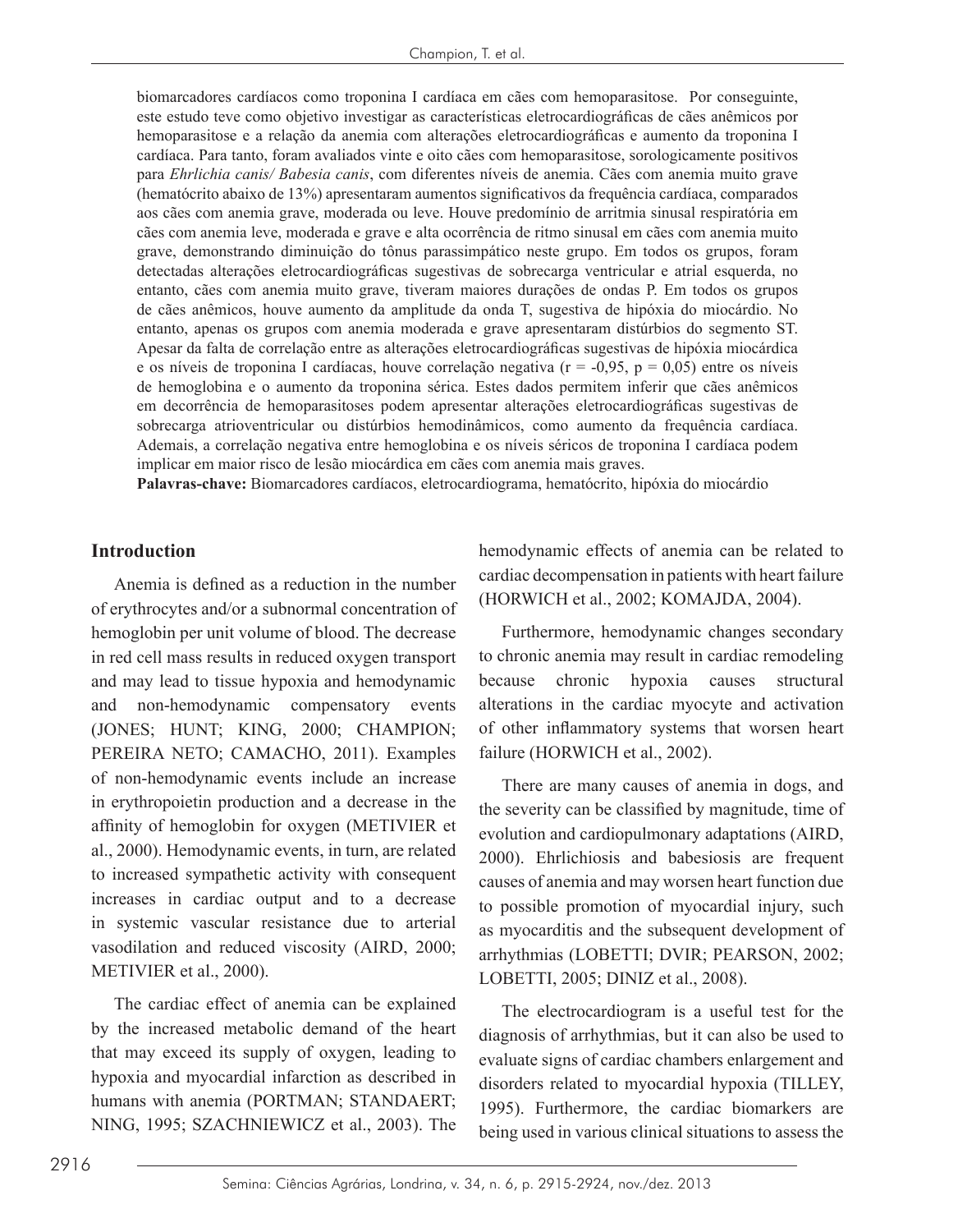biomarcadores cardíacos como troponina I cardíaca em cães com hemoparasitose. Por conseguinte, este estudo teve como objetivo investigar as características eletrocardiográficas de cães anêmicos por hemoparasitose e a relação da anemia com alterações eletrocardiográficas e aumento da troponina I cardíaca. Para tanto, foram avaliados vinte e oito cães com hemoparasitose, sorologicamente positivos para *Ehrlichia canis/ Babesia canis*, com diferentes níveis de anemia. Cães com anemia muito grave (hematócrito abaixo de 13%) apresentaram aumentos significativos da frequência cardíaca, comparados aos cães com anemia grave, moderada ou leve. Houve predomínio de arritmia sinusal respiratória em cães com anemia leve, moderada e grave e alta ocorrência de ritmo sinusal em cães com anemia muito grave, demonstrando diminuição do tônus parassimpático neste grupo. Em todos os grupos, foram detectadas alterações eletrocardiográficas sugestivas de sobrecarga ventricular e atrial esquerda, no entanto, cães com anemia muito grave, tiveram maiores durações de ondas P. Em todos os grupos de cães anêmicos, houve aumento da amplitude da onda T, sugestiva de hipóxia do miocárdio. No entanto, apenas os grupos com anemia moderada e grave apresentaram distúrbios do segmento ST. Apesar da falta de correlação entre as alterações eletrocardiográficas sugestivas de hipóxia miocárdica e os níveis de troponina I cardíacas, houve correlação negativa ( $r = -0.95$ ,  $p = 0.05$ ) entre os níveis de hemoglobina e o aumento da troponina sérica. Estes dados permitem inferir que cães anêmicos em decorrência de hemoparasitoses podem apresentar alterações eletrocardiográficas sugestivas de sobrecarga atrioventricular ou distúrbios hemodinâmicos, como aumento da frequência cardíaca. Ademais, a correlação negativa entre hemoglobina e os níveis séricos de troponina I cardíaca podem implicar em maior risco de lesão miocárdica em cães com anemia mais graves.

**Palavras-chave:** Biomarcadores cardíacos, eletrocardiograma, hematócrito, hipóxia do miocárdio

## **Introduction**

Anemia is defined as a reduction in the number of erythrocytes and/or a subnormal concentration of hemoglobin per unit volume of blood. The decrease in red cell mass results in reduced oxygen transport and may lead to tissue hypoxia and hemodynamic and non-hemodynamic compensatory events (JONES; HUNT; KING, 2000; CHAMPION; PEREIRA NETO; CAMACHO, 2011). Examples of non-hemodynamic events include an increase in erythropoietin production and a decrease in the affinity of hemoglobin for oxygen (METIVIER et al., 2000). Hemodynamic events, in turn, are related to increased sympathetic activity with consequent increases in cardiac output and to a decrease in systemic vascular resistance due to arterial vasodilation and reduced viscosity (AIRD, 2000; METIVIER et al., 2000).

The cardiac effect of anemia can be explained by the increased metabolic demand of the heart that may exceed its supply of oxygen, leading to hypoxia and myocardial infarction as described in humans with anemia (PORTMAN; STANDAERT; NING, 1995; SZACHNIEWICZ et al., 2003). The

hemodynamic effects of anemia can be related to cardiac decompensation in patients with heart failure (HORWICH et al., 2002; KOMAJDA, 2004).

Furthermore, hemodynamic changes secondary to chronic anemia may result in cardiac remodeling because chronic hypoxia causes structural alterations in the cardiac myocyte and activation of other inflammatory systems that worsen heart failure (HORWICH et al., 2002).

There are many causes of anemia in dogs, and the severity can be classified by magnitude, time of evolution and cardiopulmonary adaptations (AIRD, 2000). Ehrlichiosis and babesiosis are frequent causes of anemia and may worsen heart function due to possible promotion of myocardial injury, such as myocarditis and the subsequent development of arrhythmias (LOBETTI; DVIR; PEARSON, 2002; LOBETTI, 2005; DINIZ et al., 2008).

The electrocardiogram is a useful test for the diagnosis of arrhythmias, but it can also be used to evaluate signs of cardiac chambers enlargement and disorders related to myocardial hypoxia (TILLEY, 1995). Furthermore, the cardiac biomarkers are being used in various clinical situations to assess the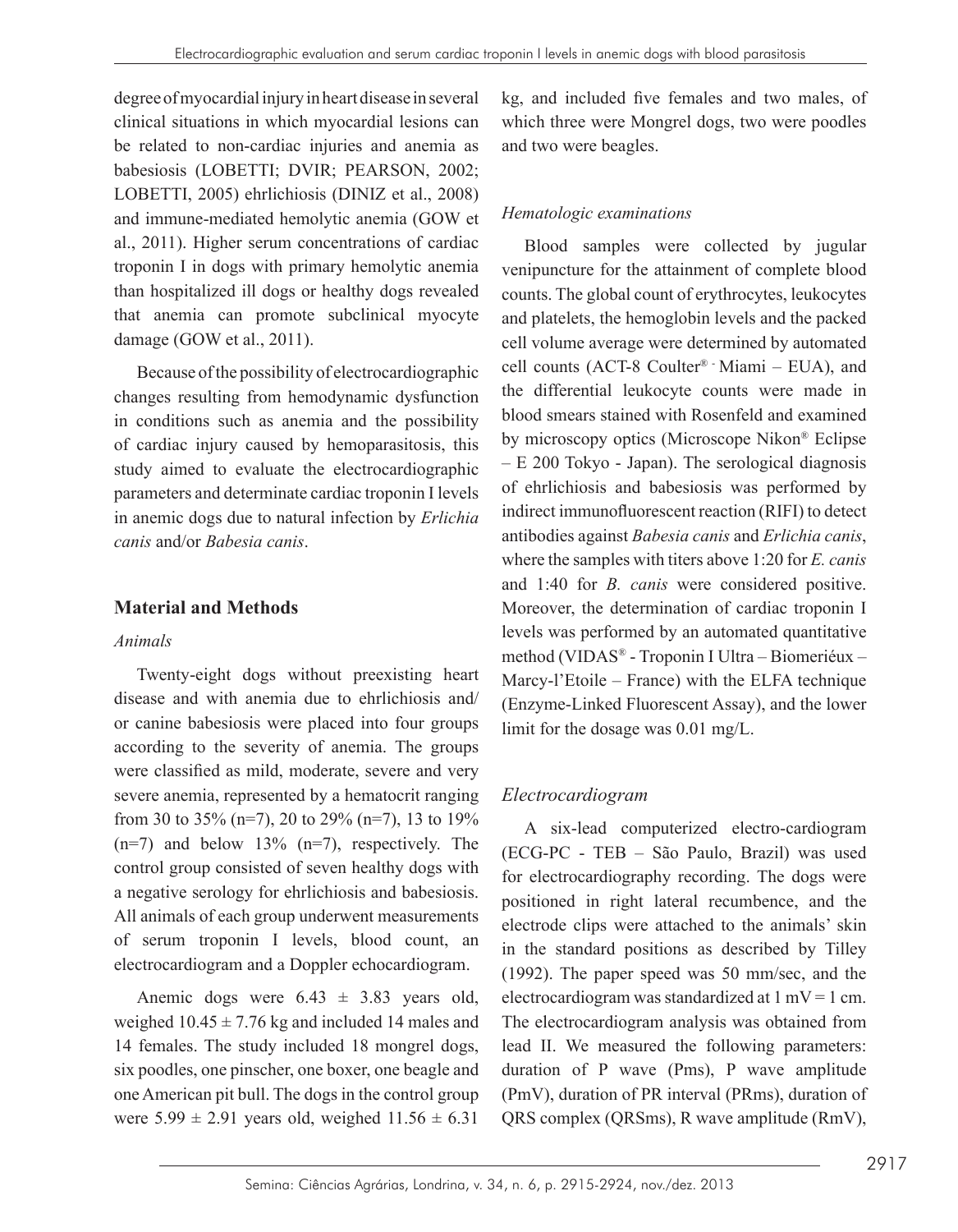degree of myocardial injury in heart disease in several clinical situations in which myocardial lesions can be related to non-cardiac injuries and anemia as babesiosis (LOBETTI; DVIR; PEARSON, 2002; LOBETTI, 2005) ehrlichiosis (DINIZ et al., 2008) and immune-mediated hemolytic anemia (GOW et al., 2011). Higher serum concentrations of cardiac troponin I in dogs with primary hemolytic anemia than hospitalized ill dogs or healthy dogs revealed that anemia can promote subclinical myocyte damage (GOW et al., 2011).

Because of the possibility of electrocardiographic changes resulting from hemodynamic dysfunction in conditions such as anemia and the possibility of cardiac injury caused by hemoparasitosis, this study aimed to evaluate the electrocardiographic parameters and determinate cardiac troponin I levels in anemic dogs due to natural infection by *Erlichia canis* and/or *Babesia canis*.

#### **Material and Methods**

#### *Animals*

Twenty-eight dogs without preexisting heart disease and with anemia due to ehrlichiosis and/ or canine babesiosis were placed into four groups according to the severity of anemia. The groups were classified as mild, moderate, severe and very severe anemia, represented by a hematocrit ranging from 30 to 35% (n=7), 20 to 29% (n=7), 13 to 19%  $(n=7)$  and below 13%  $(n=7)$ , respectively. The control group consisted of seven healthy dogs with a negative serology for ehrlichiosis and babesiosis. All animals of each group underwent measurements of serum troponin I levels, blood count, an electrocardiogram and a Doppler echocardiogram.

Anemic dogs were  $6.43 \pm 3.83$  years old, weighed  $10.45 \pm 7.76$  kg and included 14 males and 14 females. The study included 18 mongrel dogs, six poodles, one pinscher, one boxer, one beagle and one American pit bull. The dogs in the control group were  $5.99 \pm 2.91$  years old, weighed  $11.56 \pm 6.31$  kg, and included five females and two males, of which three were Mongrel dogs, two were poodles and two were beagles.

#### *Hematologic examinations*

Blood samples were collected by jugular venipuncture for the attainment of complete blood counts. The global count of erythrocytes, leukocytes and platelets, the hemoglobin levels and the packed cell volume average were determined by automated cell counts (ACT-8 Coulter® - Miami – EUA), and the differential leukocyte counts were made in blood smears stained with Rosenfeld and examined by microscopy optics (Microscope Nikon® Eclipse – E 200 Tokyo - Japan). The serological diagnosis of ehrlichiosis and babesiosis was performed by indirect immunofluorescent reaction (RIFI) to detect antibodies against *Babesia canis* and *Erlichia canis*, where the samples with titers above 1:20 for *E. canis*  and 1:40 for *B. canis* were considered positive. Moreover, the determination of cardiac troponin I levels was performed by an automated quantitative method (VIDAS® - Troponin I Ultra – Biomeriéux – Marcy-l'Etoile – France) with the ELFA technique (Enzyme-Linked Fluorescent Assay), and the lower limit for the dosage was 0.01 mg/L.

## *Electrocardiogram*

A six-lead computerized electro-cardiogram (ECG-PC - TEB – São Paulo, Brazil) was used for electrocardiography recording. The dogs were positioned in right lateral recumbence, and the electrode clips were attached to the animals' skin in the standard positions as described by Tilley (1992). The paper speed was 50 mm/sec, and the electrocardiogram was standardized at  $1 \text{ mV} = 1 \text{ cm}$ . The electrocardiogram analysis was obtained from lead II. We measured the following parameters: duration of P wave (Pms), P wave amplitude (PmV), duration of PR interval (PRms), duration of QRS complex (QRSms), R wave amplitude (RmV),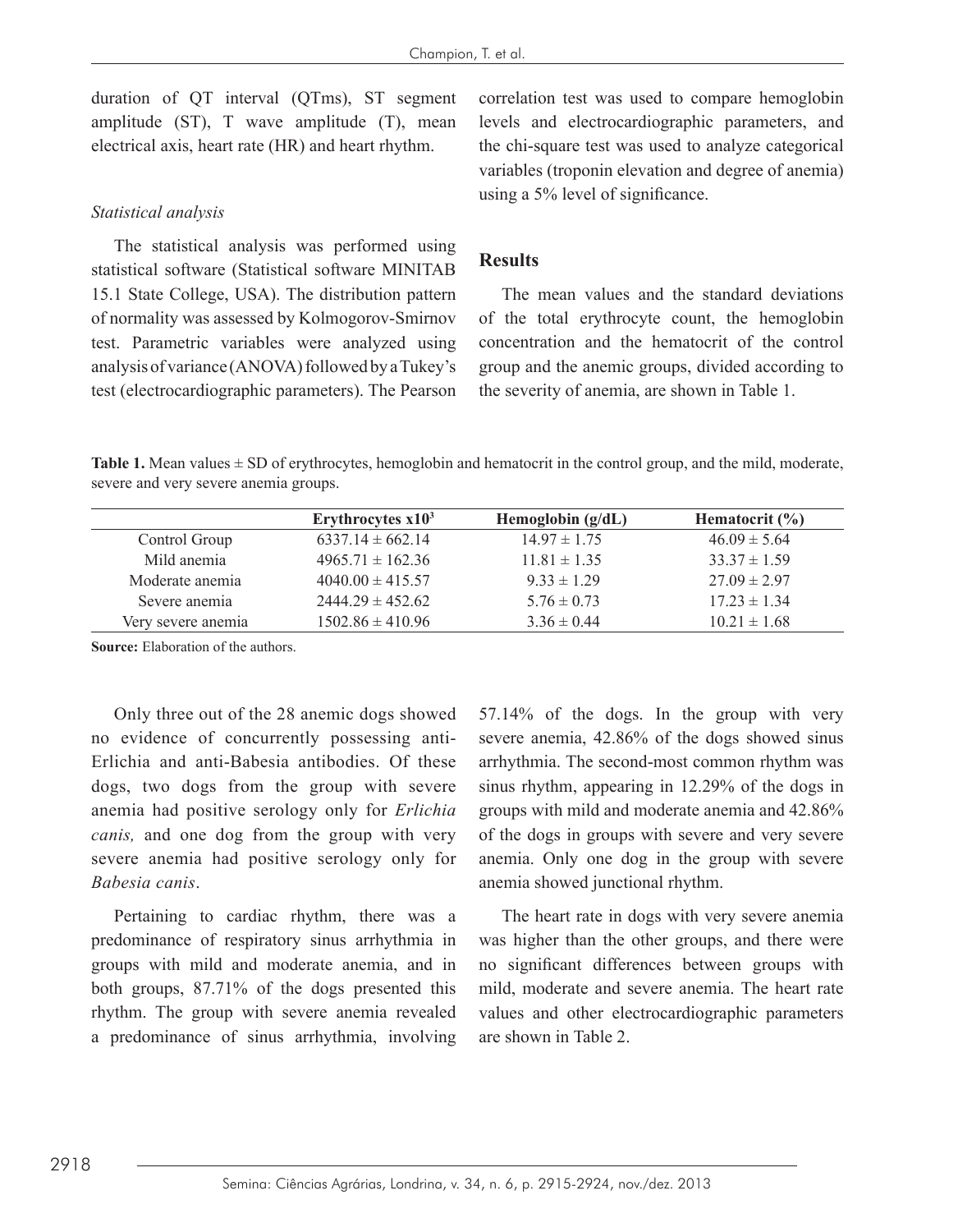duration of QT interval (QTms), ST segment amplitude (ST), T wave amplitude (T), mean electrical axis, heart rate (HR) and heart rhythm.

#### *Statistical analysis*

The statistical analysis was performed using statistical software (Statistical software MINITAB 15.1 State College, USA). The distribution pattern of normality was assessed by Kolmogorov-Smirnov test. Parametric variables were analyzed using analysis of variance (ANOVA) followed by a Tukey's test (electrocardiographic parameters). The Pearson correlation test was used to compare hemoglobin levels and electrocardiographic parameters, and the chi-square test was used to analyze categorical variables (troponin elevation and degree of anemia) using a 5% level of significance.

#### **Results**

The mean values and the standard deviations of the total erythrocyte count, the hemoglobin concentration and the hematocrit of the control group and the anemic groups, divided according to the severity of anemia, are shown in Table 1.

**Table 1.** Mean values  $\pm$  SD of erythrocytes, hemoglobin and hematocrit in the control group, and the mild, moderate, severe and very severe anemia groups.

|                    | Erythrocytes $x103$  | Hemoglobin $(g/dL)$ | Hematocrit $(\% )$ |
|--------------------|----------------------|---------------------|--------------------|
| Control Group      | $6337.14 \pm 662.14$ | $14.97 \pm 1.75$    | $46.09 \pm 5.64$   |
| Mild anemia        | $4965.71 \pm 162.36$ | $11.81 \pm 1.35$    | $33.37 \pm 1.59$   |
| Moderate anemia    | $4040.00 \pm 415.57$ | $9.33 \pm 1.29$     | $27.09 \pm 2.97$   |
| Severe anemia      | $2444.29 \pm 452.62$ | $5.76 \pm 0.73$     | $17.23 \pm 1.34$   |
| Very severe anemia | $1502.86 \pm 410.96$ | $3.36 \pm 0.44$     | $10.21 \pm 1.68$   |

**Source:** Elaboration of the authors.

Only three out of the 28 anemic dogs showed no evidence of concurrently possessing anti-Erlichia and anti-Babesia antibodies. Of these dogs, two dogs from the group with severe anemia had positive serology only for *Erlichia canis,* and one dog from the group with very severe anemia had positive serology only for *Babesia canis*.

Pertaining to cardiac rhythm, there was a predominance of respiratory sinus arrhythmia in groups with mild and moderate anemia, and in both groups, 87.71% of the dogs presented this rhythm. The group with severe anemia revealed a predominance of sinus arrhythmia, involving 57.14% of the dogs. In the group with very severe anemia, 42.86% of the dogs showed sinus arrhythmia. The second-most common rhythm was sinus rhythm, appearing in 12.29% of the dogs in groups with mild and moderate anemia and 42.86% of the dogs in groups with severe and very severe anemia. Only one dog in the group with severe anemia showed junctional rhythm.

The heart rate in dogs with very severe anemia was higher than the other groups, and there were no significant differences between groups with mild, moderate and severe anemia. The heart rate values and other electrocardiographic parameters are shown in Table 2.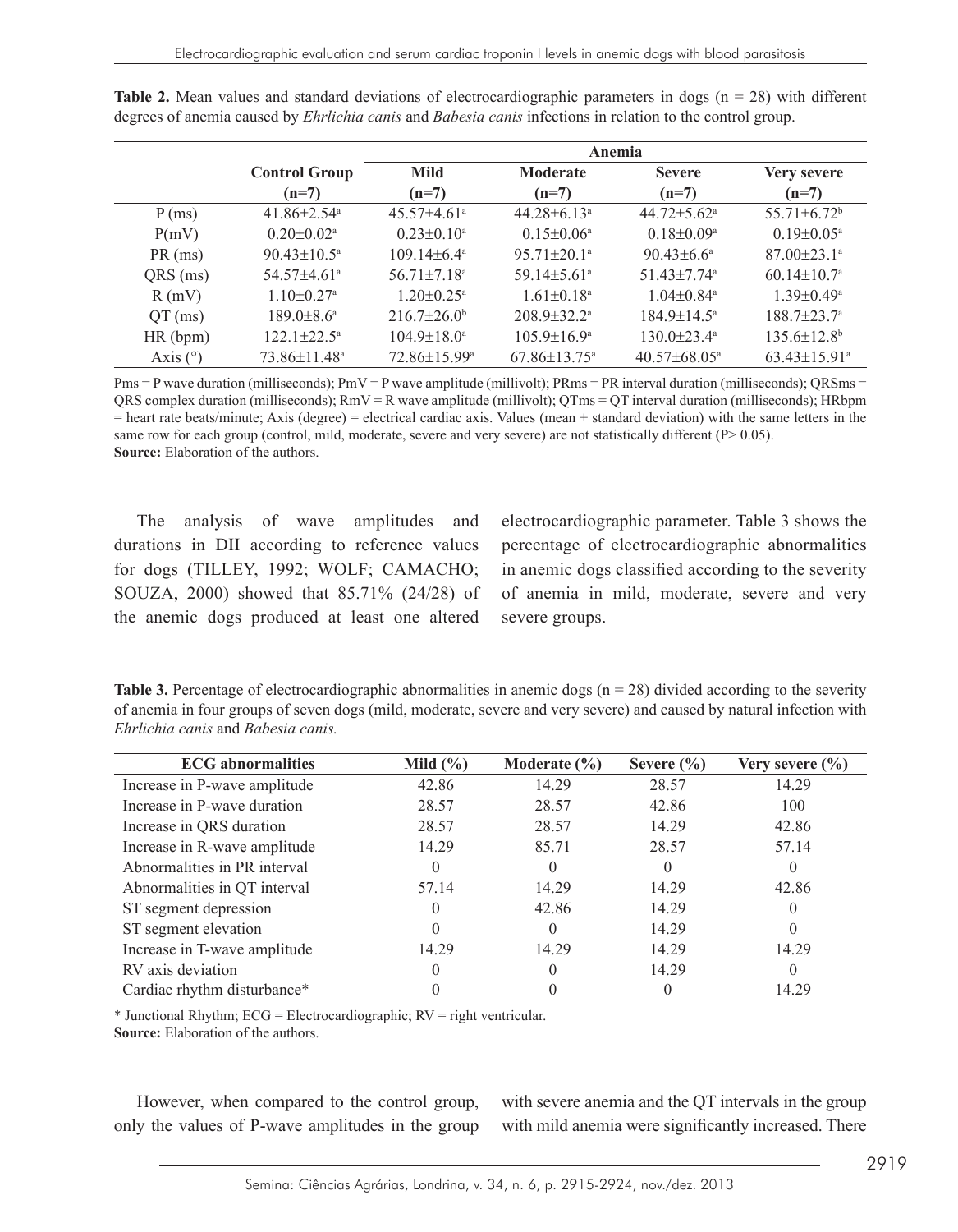|            | Anemia                        |                               |                               |                               |                                |  |
|------------|-------------------------------|-------------------------------|-------------------------------|-------------------------------|--------------------------------|--|
|            | <b>Control Group</b>          | <b>Mild</b>                   | <b>Moderate</b>               | <b>Severe</b>                 | Very severe                    |  |
|            | $(n=7)$                       | $(n=7)$                       | $(n=7)$                       | $(n=7)$                       | $(n=7)$                        |  |
| P(ms)      | $41.86 \pm 2.54$ <sup>a</sup> | $45.57\pm4.61^{\circ}$        | $44.28 \pm 6.13^{\circ}$      | $44.72 \pm 5.62$ <sup>a</sup> | $55.71 \pm 6.72$ <sup>b</sup>  |  |
| P(mV)      | $0.20 \pm 0.02^{\text{a}}$    | $0.23 \pm 0.10^a$             | $0.15 \pm 0.06^a$             | $0.18 \pm 0.09$ <sup>a</sup>  | $0.19 \pm 0.05^{\text{a}}$     |  |
| $PR$ (ms)  | $90.43 \pm 10.5^{\circ}$      | $109.14\pm6.4^{\circ}$        | $95.71 \pm 20.1$ <sup>a</sup> | $90.43 \pm 6.6^a$             | $87.00 \pm 23.1$ <sup>a</sup>  |  |
| QRS (ms)   | $54.57 \pm 4.61$ <sup>a</sup> | $56.71 \pm 7.18$ <sup>a</sup> | $59.14 \pm 5.61$ <sup>a</sup> | 51.43 $\pm$ 7.74 <sup>a</sup> | $60.14 \pm 10.7$ <sup>a</sup>  |  |
| R(mV)      | $1.10 \pm 0.27$ <sup>a</sup>  | $1.20 \pm 0.25$ <sup>a</sup>  | $1.61 \pm 0.18$ <sup>a</sup>  | $1.04\pm0.84$ <sup>a</sup>    | $1.39 \pm 0.49^a$              |  |
| $QT$ (ms)  | $189.0 \pm 8.6^{\circ}$       | $216.7 \pm 26.0^{\circ}$      | $208.9 \pm 32.2^{\circ}$      | $184.9 \pm 14.5^{\circ}$      | $188.7 \pm 23.7$ <sup>a</sup>  |  |
| HR(bpm)    | $122.1 \pm 22.5^{\circ}$      | $104.9 \pm 18.0^a$            | $105.9 \pm 16.9^{\circ}$      | $130.0 \pm 23.4^{\circ}$      | $135.6 \pm 12.8$ <sup>b</sup>  |  |
| Axis $(°)$ | 73.86±11.48 <sup>a</sup>      | 72.86±15.99 <sup>a</sup>      | $67.86 \pm 13.75^{\circ}$     | $40.57\pm68.05^{\circ}$       | $63.43 \pm 15.91$ <sup>a</sup> |  |

**Table 2.** Mean values and standard deviations of electrocardiographic parameters in dogs (n = 28) with different degrees of anemia caused by *Ehrlichia canis* and *Babesia canis* infections in relation to the control group.

 $Pms = P$  wave duration (milliseconds);  $PmV = P$  wave amplitude (millivolt);  $PRms = PR$  interval duration (milliseconds);  $ORSm =$ QRS complex duration (milliseconds);  $RmV = R$  wave amplitude (millivolt);  $QTms = QT$  interval duration (milliseconds); HRbpm  $=$  heart rate beats/minute; Axis (degree)  $=$  electrical cardiac axis. Values (mean  $\pm$  standard deviation) with the same letters in the same row for each group (control, mild, moderate, severe and very severe) are not statistically different (P> 0.05). **Source:** Elaboration of the authors.

The analysis of wave amplitudes and durations in DII according to reference values for dogs (TILLEY, 1992; WOLF; CAMACHO; SOUZA, 2000) showed that 85.71% (24/28) of the anemic dogs produced at least one altered electrocardiographic parameter. Table 3 shows the percentage of electrocardiographic abnormalities in anemic dogs classified according to the severity of anemia in mild, moderate, severe and very severe groups.

**Table 3.** Percentage of electrocardiographic abnormalities in anemic dogs  $(n = 28)$  divided according to the severity of anemia in four groups of seven dogs (mild, moderate, severe and very severe) and caused by natural infection with *Ehrlichia canis* and *Babesia canis.*

| <b>ECG</b> abnormalities     | Mild $(\% )$ | Moderate $(\% )$ | Severe $\frac{6}{6}$ | Very severe $\frac{6}{6}$ |
|------------------------------|--------------|------------------|----------------------|---------------------------|
| Increase in P-wave amplitude | 42.86        | 14.29            | 28.57                | 14.29                     |
| Increase in P-wave duration  | 28.57        | 28.57            | 42.86                | 100                       |
| Increase in QRS duration     | 28.57        | 28.57            | 14.29                | 42.86                     |
| Increase in R-wave amplitude | 14.29        | 85.71            | 28.57                | 57.14                     |
| Abnormalities in PR interval | 0            | $\theta$         |                      |                           |
| Abnormalities in QT interval | 57.14        | 14.29            | 14.29                | 42.86                     |
| ST segment depression        | 0            | 42.86            | 14.29                |                           |
| ST segment elevation         | 0            | $\theta$         | 14.29                | $\theta$                  |
| Increase in T-wave amplitude | 14.29        | 14.29            | 14.29                | 14.29                     |
| RV axis deviation            | $\theta$     | $\theta$         | 14.29                | $\theta$                  |
| Cardiac rhythm disturbance*  |              |                  |                      | 14.29                     |

\* Junctional Rhythm; ECG = Electrocardiographic; RV = right ventricular. **Source:** Elaboration of the authors.

However, when compared to the control group, only the values of P-wave amplitudes in the group with severe anemia and the QT intervals in the group with mild anemia were significantly increased. There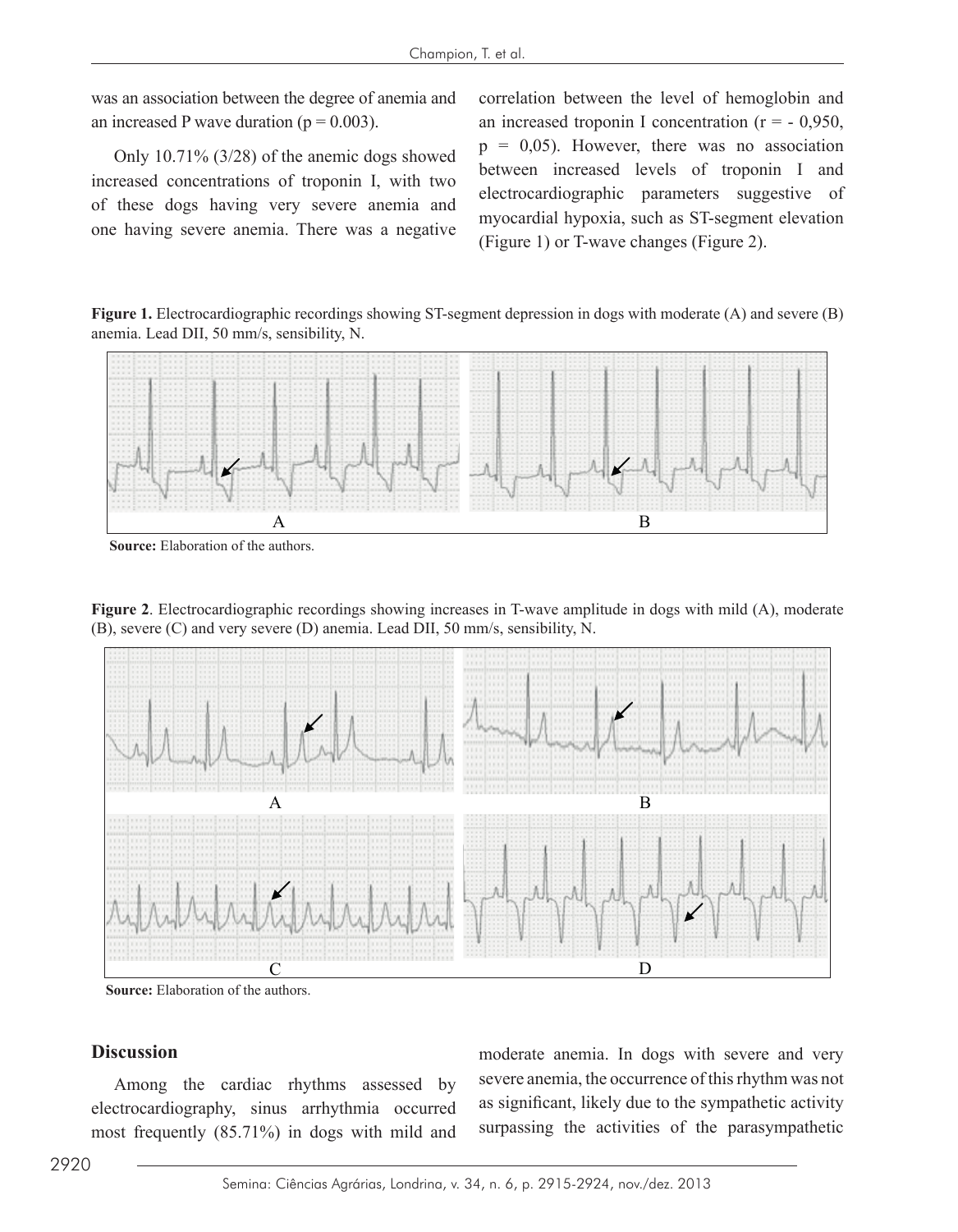was an association between the degree of anemia and an increased P wave duration ( $p = 0.003$ ).

Only 10.71% (3/28) of the anemic dogs showed increased concentrations of troponin I, with two of these dogs having very severe anemia and one having severe anemia. There was a negative correlation between the level of hemoglobin and an increased troponin I concentration  $(r = -0.950)$ ,  $p = 0.05$ ). However, there was no association between increased levels of troponin I and electrocardiographic parameters suggestive of myocardial hypoxia, such as ST-segment elevation (Figure 1) or T-wave changes (Figure 2).

**Figure 1.** Electrocardiographic recordings showing ST-segment depression in dogs with moderate (A) and severe (B) anemia. Lead DII, 50 mm/s, sensibility, N.



**Source:** Elaboration of the authors.

**Figure 2**. Electrocardiographic recordings showing increases in T-wave amplitude in dogs with mild (A), moderate (B), severe (C) and very severe (D) anemia. Lead DII, 50 mm/s, sensibility, N.



**Source:** Elaboration of the authors.

## **Discussion**

Among the cardiac rhythms assessed by electrocardiography, sinus arrhythmia occurred most frequently (85.71%) in dogs with mild and moderate anemia. In dogs with severe and very severe anemia, the occurrence of this rhythm was not as significant, likely due to the sympathetic activity surpassing the activities of the parasympathetic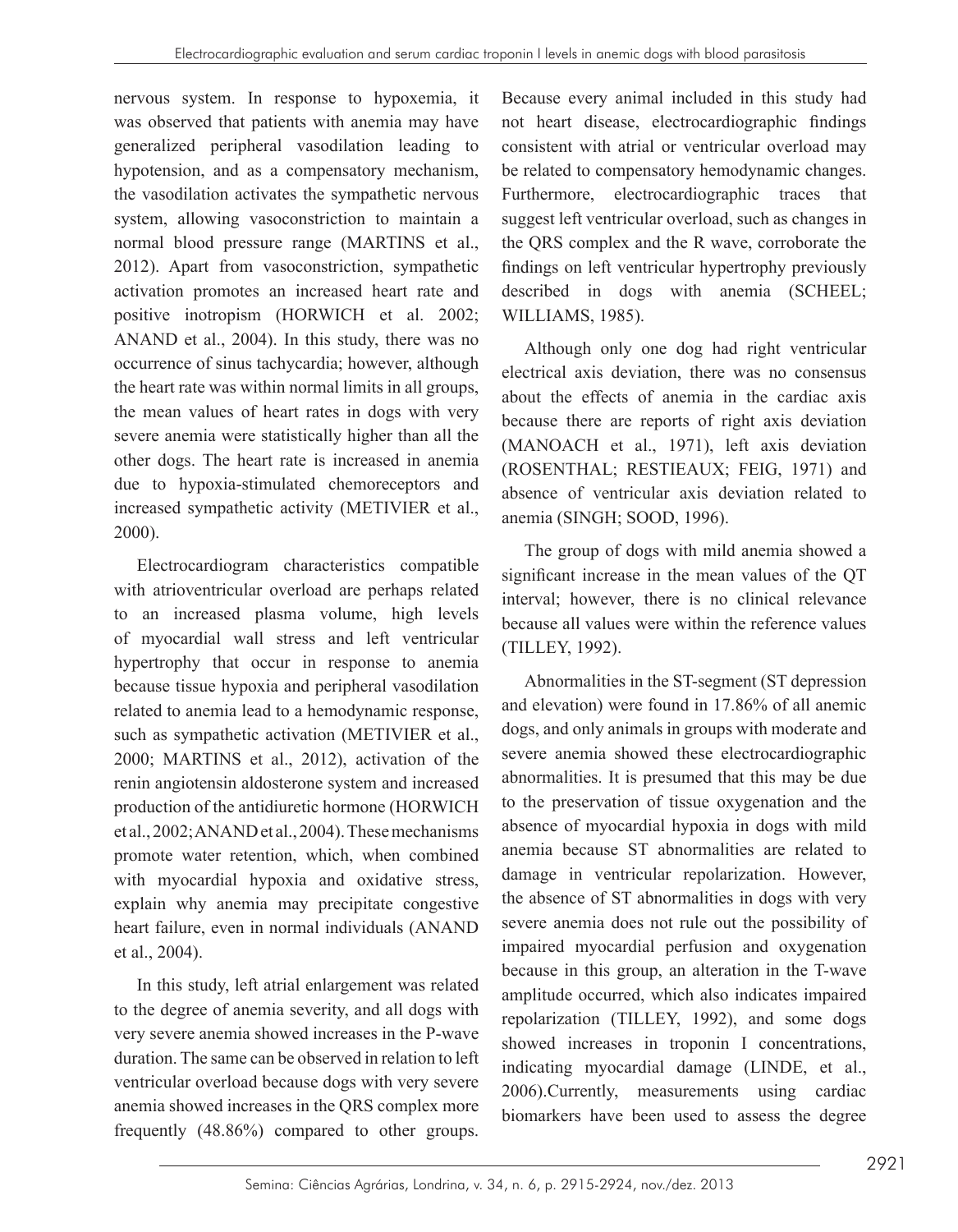nervous system. In response to hypoxemia, it was observed that patients with anemia may have generalized peripheral vasodilation leading to hypotension, and as a compensatory mechanism, the vasodilation activates the sympathetic nervous system, allowing vasoconstriction to maintain a normal blood pressure range (MARTINS et al., 2012). Apart from vasoconstriction, sympathetic activation promotes an increased heart rate and positive inotropism (HORWICH et al. 2002; ANAND et al., 2004). In this study, there was no occurrence of sinus tachycardia; however, although the heart rate was within normal limits in all groups, the mean values of heart rates in dogs with very severe anemia were statistically higher than all the other dogs. The heart rate is increased in anemia due to hypoxia-stimulated chemoreceptors and increased sympathetic activity (METIVIER et al., 2000).

Electrocardiogram characteristics compatible with atrioventricular overload are perhaps related to an increased plasma volume, high levels of myocardial wall stress and left ventricular hypertrophy that occur in response to anemia because tissue hypoxia and peripheral vasodilation related to anemia lead to a hemodynamic response, such as sympathetic activation (METIVIER et al., 2000; MARTINS et al., 2012), activation of the renin angiotensin aldosterone system and increased production of the antidiuretic hormone (HORWICH et al., 2002; ANAND et al., 2004). These mechanisms promote water retention, which, when combined with myocardial hypoxia and oxidative stress, explain why anemia may precipitate congestive heart failure, even in normal individuals (ANAND et al., 2004).

In this study, left atrial enlargement was related to the degree of anemia severity, and all dogs with very severe anemia showed increases in the P-wave duration. The same can be observed in relation to left ventricular overload because dogs with very severe anemia showed increases in the QRS complex more frequently (48.86%) compared to other groups.

Because every animal included in this study had not heart disease, electrocardiographic findings consistent with atrial or ventricular overload may be related to compensatory hemodynamic changes. Furthermore, electrocardiographic traces that suggest left ventricular overload, such as changes in the QRS complex and the R wave, corroborate the findings on left ventricular hypertrophy previously described in dogs with anemia (SCHEEL; WILLIAMS, 1985).

Although only one dog had right ventricular electrical axis deviation, there was no consensus about the effects of anemia in the cardiac axis because there are reports of right axis deviation (MANOACH et al., 1971), left axis deviation (ROSENTHAL; RESTIEAUX; FEIG, 1971) and absence of ventricular axis deviation related to anemia (SINGH; SOOD, 1996).

The group of dogs with mild anemia showed a significant increase in the mean values of the QT interval; however, there is no clinical relevance because all values were within the reference values (TILLEY, 1992).

Abnormalities in the ST-segment (ST depression and elevation) were found in 17.86% of all anemic dogs, and only animals in groups with moderate and severe anemia showed these electrocardiographic abnormalities. It is presumed that this may be due to the preservation of tissue oxygenation and the absence of myocardial hypoxia in dogs with mild anemia because ST abnormalities are related to damage in ventricular repolarization. However, the absence of ST abnormalities in dogs with very severe anemia does not rule out the possibility of impaired myocardial perfusion and oxygenation because in this group, an alteration in the T-wave amplitude occurred, which also indicates impaired repolarization (TILLEY, 1992), and some dogs showed increases in troponin I concentrations, indicating myocardial damage (LINDE, et al., 2006).Currently, measurements using cardiac biomarkers have been used to assess the degree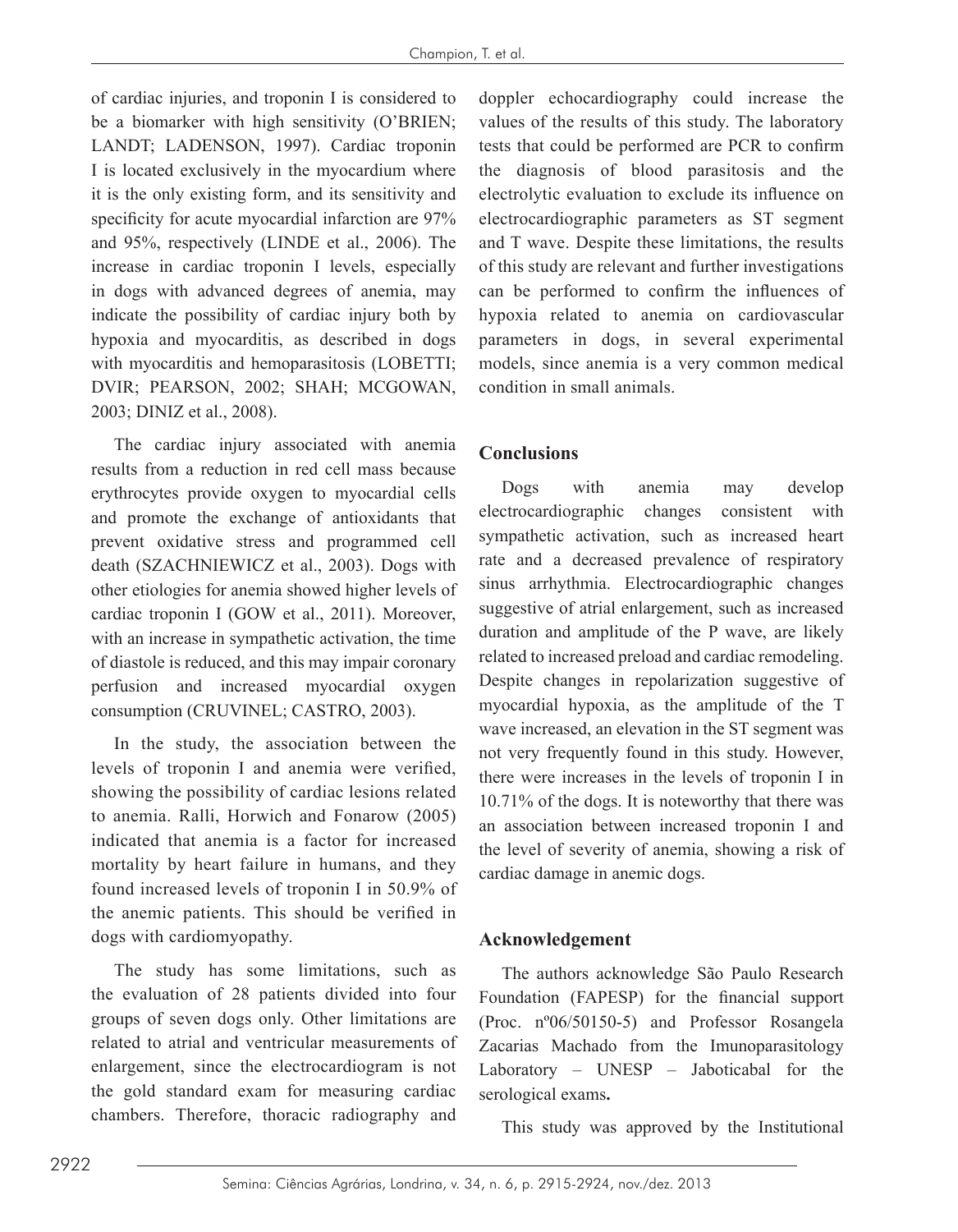of cardiac injuries, and troponin I is considered to be a biomarker with high sensitivity (O'BRIEN; LANDT; LADENSON, 1997). Cardiac troponin I is located exclusively in the myocardium where it is the only existing form, and its sensitivity and specificity for acute myocardial infarction are 97% and 95%, respectively (LINDE et al., 2006). The increase in cardiac troponin I levels, especially in dogs with advanced degrees of anemia, may indicate the possibility of cardiac injury both by hypoxia and myocarditis, as described in dogs with myocarditis and hemoparasitosis (LOBETTI; DVIR; PEARSON, 2002; SHAH; MCGOWAN, 2003; DINIZ et al., 2008).

The cardiac injury associated with anemia results from a reduction in red cell mass because erythrocytes provide oxygen to myocardial cells and promote the exchange of antioxidants that prevent oxidative stress and programmed cell death (SZACHNIEWICZ et al., 2003). Dogs with other etiologies for anemia showed higher levels of cardiac troponin I (GOW et al., 2011). Moreover, with an increase in sympathetic activation, the time of diastole is reduced, and this may impair coronary perfusion and increased myocardial oxygen consumption (CRUVINEL; CASTRO, 2003).

In the study, the association between the levels of troponin I and anemia were verified, showing the possibility of cardiac lesions related to anemia. Ralli, Horwich and Fonarow (2005) indicated that anemia is a factor for increased mortality by heart failure in humans, and they found increased levels of troponin I in 50.9% of the anemic patients. This should be verified in dogs with cardiomyopathy.

The study has some limitations, such as the evaluation of 28 patients divided into four groups of seven dogs only. Other limitations are related to atrial and ventricular measurements of enlargement, since the electrocardiogram is not the gold standard exam for measuring cardiac chambers. Therefore, thoracic radiography and

doppler echocardiography could increase the values of the results of this study. The laboratory tests that could be performed are PCR to confirm the diagnosis of blood parasitosis and the electrolytic evaluation to exclude its influence on electrocardiographic parameters as ST segment and T wave. Despite these limitations, the results of this study are relevant and further investigations can be performed to confirm the influences of hypoxia related to anemia on cardiovascular parameters in dogs, in several experimental models, since anemia is a very common medical condition in small animals.

# **Conclusions**

Dogs with anemia may develop electrocardiographic changes consistent with sympathetic activation, such as increased heart rate and a decreased prevalence of respiratory sinus arrhythmia. Electrocardiographic changes suggestive of atrial enlargement, such as increased duration and amplitude of the P wave, are likely related to increased preload and cardiac remodeling. Despite changes in repolarization suggestive of myocardial hypoxia, as the amplitude of the T wave increased, an elevation in the ST segment was not very frequently found in this study. However, there were increases in the levels of troponin I in 10.71% of the dogs. It is noteworthy that there was an association between increased troponin I and the level of severity of anemia, showing a risk of cardiac damage in anemic dogs.

# **Acknowledgement**

The authors acknowledge São Paulo Research Foundation (FAPESP) for the financial support (Proc. nº06/50150-5) and Professor Rosangela Zacarias Machado from the Imunoparasitology Laboratory – UNESP – Jaboticabal for the serological exams**.**

This study was approved by the Institutional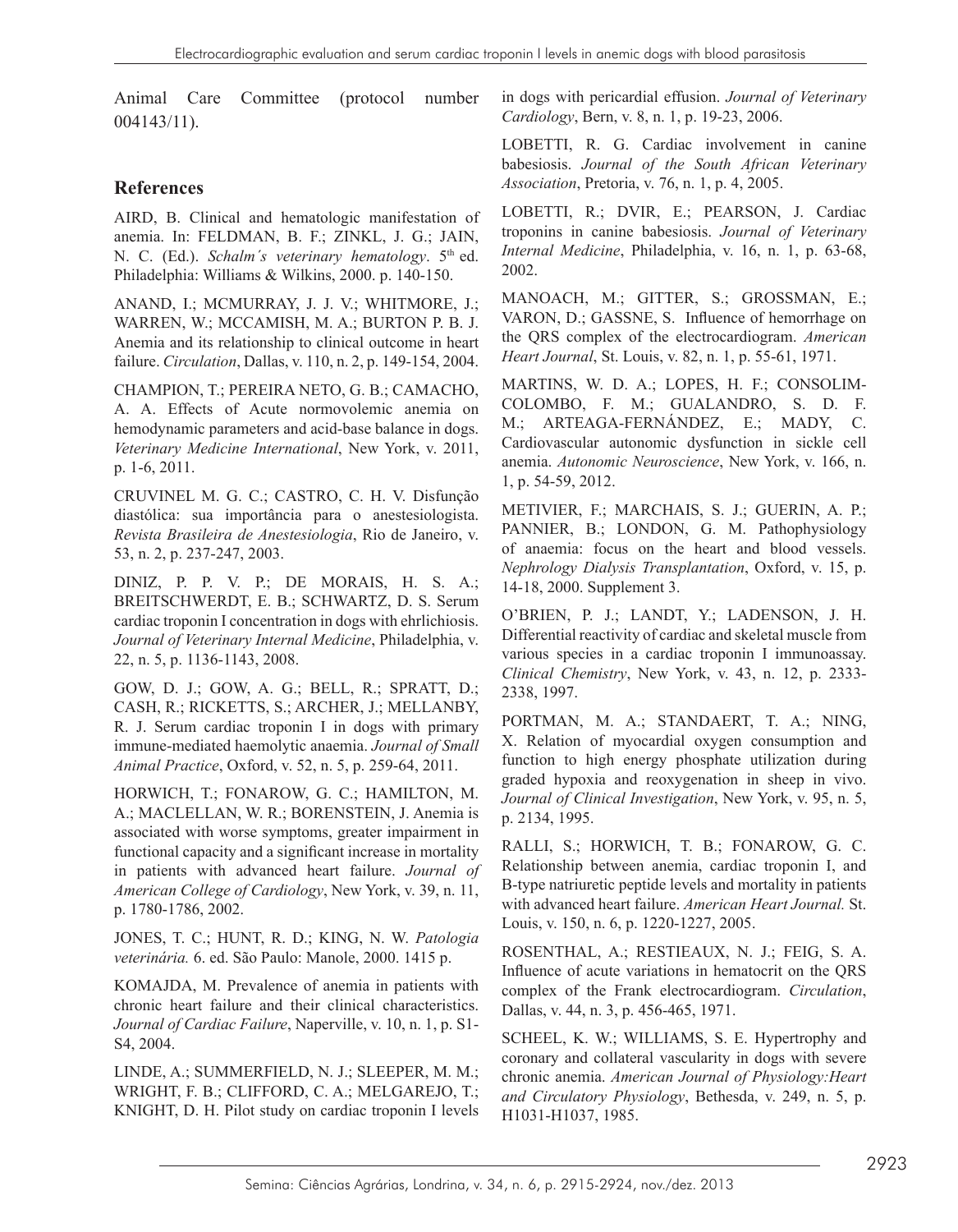Animal Care Committee (protocol number 004143/11).

# **References**

AIRD, B. Clinical and hematologic manifestation of anemia. In: FELDMAN, B. F.; ZINKL, J. G.; JAIN, N. C. (Ed.). *Schalm's veterinary hematology*. 5<sup>th</sup> ed. Philadelphia: Williams & Wilkins, 2000. p. 140-150.

ANAND, I.; MCMURRAY, J. J. V.; WHITMORE, J.; WARREN, W.; MCCAMISH, M. A.; BURTON P. B. J. Anemia and its relationship to clinical outcome in heart failure. *Circulation*, Dallas, v. 110, n. 2, p. 149-154, 2004.

CHAMPION, T.; PEREIRA NETO, G. B.; CAMACHO, A. A. Effects of Acute normovolemic anemia on hemodynamic parameters and acid-base balance in dogs. *Veterinary Medicine International*, New York, v. 2011, p. 1-6, 2011.

CRUVINEL M. G. C.; CASTRO, C. H. V. Disfunção diastólica: sua importância para o anestesiologista. *Revista Brasileira de Anestesiologia*, Rio de Janeiro, v. 53, n. 2, p. 237-247, 2003.

DINIZ, P. P. V. P.; DE MORAIS, H. S. A.; BREITSCHWERDT, E. B.; SCHWARTZ, D. S. Serum cardiac troponin I concentration in dogs with ehrlichiosis. *Journal of Veterinary Internal Medicine*, Philadelphia, v. 22, n. 5, p. 1136-1143, 2008.

GOW, D. J.; GOW, A. G.; BELL, R.; SPRATT, D.; CASH, R.; RICKETTS, S.; ARCHER, J.; MELLANBY, R. J. Serum cardiac troponin I in dogs with primary immune-mediated haemolytic anaemia. *Journal of Small Animal Practice*, Oxford, v. 52, n. 5, p. 259-64, 2011.

HORWICH, T.; FONAROW, G. C.; HAMILTON, M. A.; MACLELLAN, W. R.; BORENSTEIN, J. Anemia is associated with worse symptoms, greater impairment in functional capacity and a significant increase in mortality in patients with advanced heart failure. *Journal of American College of Cardiology*, New York, v. 39, n. 11, p. 1780-1786, 2002.

JONES, T. C.; HUNT, R. D.; KING, N. W. *Patologia veterinária.* 6. ed. São Paulo: Manole, 2000. 1415 p.

KOMAJDA, M. Prevalence of anemia in patients with chronic heart failure and their clinical characteristics. *Journal of Cardiac Failure*, Naperville, v. 10, n. 1, p. S1- S4, 2004.

LINDE, A.; SUMMERFIELD, N. J.; SLEEPER, M. M.; WRIGHT, F. B.; CLIFFORD, C. A.; MELGAREJO, T.; KNIGHT, D. H. Pilot study on cardiac troponin I levels in dogs with pericardial effusion. *Journal of Veterinary Cardiology*, Bern, v. 8, n. 1, p. 19-23, 2006.

LOBETTI, R. G. Cardiac involvement in canine babesiosis. *Journal of the South African Veterinary Association*, Pretoria, v. 76, n. 1, p. 4, 2005.

LOBETTI, R.; DVIR, E.; PEARSON, J. Cardiac troponins in canine babesiosis. *Journal of Veterinary Internal Medicine*, Philadelphia, v. 16, n. 1, p. 63-68, 2002.

MANOACH, M.; GITTER, S.; GROSSMAN, E.; VARON, D.; GASSNE, S. Influence of hemorrhage on the QRS complex of the electrocardiogram. *American Heart Journal*, St. Louis, v. 82, n. 1, p. 55-61, 1971.

MARTINS, W. D. A.; LOPES, H. F.; CONSOLIM-COLOMBO, F. M.; GUALANDRO, S. D. F. M.; ARTEAGA-FERNÁNDEZ, E.; MADY, C. Cardiovascular autonomic dysfunction in sickle cell anemia. *Autonomic Neuroscience*, New York, v. 166, n. 1, p. 54-59, 2012.

METIVIER, F.; MARCHAIS, S. J.; GUERIN, A. P.; PANNIER, B.; LONDON, G. M. Pathophysiology of anaemia: focus on the heart and blood vessels. *Nephrology Dialysis Transplantation*, Oxford, v. 15, p. 14-18, 2000. Supplement 3.

O'BRIEN, P. J.; LANDT, Y.; LADENSON, J. H. Differential reactivity of cardiac and skeletal muscle from various species in a cardiac troponin I immunoassay. *Clinical Chemistry*, New York, v. 43, n. 12, p. 2333- 2338, 1997.

PORTMAN, M. A.; STANDAERT, T. A.; NING, X. Relation of myocardial oxygen consumption and function to high energy phosphate utilization during graded hypoxia and reoxygenation in sheep in vivo. *Journal of Clinical Investigation*, New York, v. 95, n. 5, p. 2134, 1995.

RALLI, S.; HORWICH, T. B.; FONAROW, G. C. Relationship between anemia, cardiac troponin I, and B-type natriuretic peptide levels and mortality in patients with advanced heart failure. *American Heart Journal.* St. Louis, v. 150, n. 6, p. 1220-1227, 2005.

ROSENTHAL, A.; RESTIEAUX, N. J.; FEIG, S. A. Influence of acute variations in hematocrit on the QRS complex of the Frank electrocardiogram. *Circulation*, Dallas, v. 44, n. 3, p. 456-465, 1971.

SCHEEL, K. W.; WILLIAMS, S. E. Hypertrophy and coronary and collateral vascularity in dogs with severe chronic anemia. *American Journal of Physiology:Heart and Circulatory Physiology*, Bethesda, v. 249, n. 5, p. H1031-H1037, 1985.